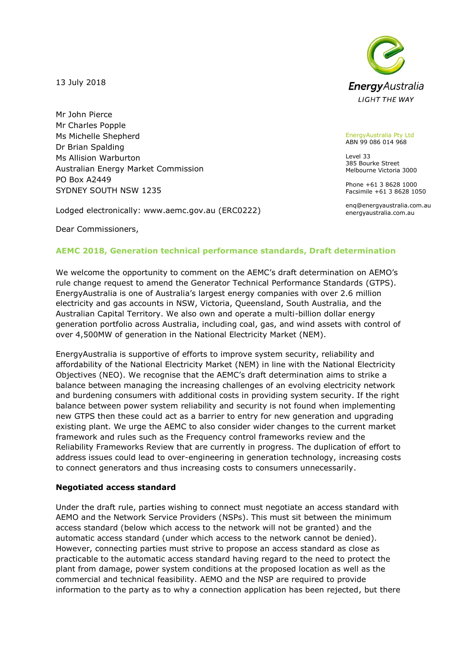13 July 2018

Mr John Pierce Mr Charles Popple Ms Michelle Shepherd Dr Brian Spalding Ms Allision Warburton Australian Energy Market Commission PO Box A2449 SYDNEY SOUTH NSW 1235

Lodged electronically: www.aemc.gov.au (ERC0222)

Dear Commissioners,

## **AEMC 2018, Generation technical performance standards, Draft determination**

We welcome the opportunity to comment on the AEMC's draft determination on AEMO's rule change request to amend the Generator Technical Performance Standards (GTPS). EnergyAustralia is one of Australia's largest energy companies with over 2.6 million electricity and gas accounts in NSW, Victoria, Queensland, South Australia, and the Australian Capital Territory. We also own and operate a multi-billion dollar energy generation portfolio across Australia, including coal, gas, and wind assets with control of over 4,500MW of generation in the National Electricity Market (NEM).

EnergyAustralia is supportive of efforts to improve system security, reliability and affordability of the National Electricity Market (NEM) in line with the National Electricity Objectives (NEO). We recognise that the AEMC's draft determination aims to strike a balance between managing the increasing challenges of an evolving electricity network and burdening consumers with additional costs in providing system security. If the right balance between power system reliability and security is not found when implementing new GTPS then these could act as a barrier to entry for new generation and upgrading existing plant. We urge the AEMC to also consider wider changes to the current market framework and rules such as the Frequency control frameworks review and the Reliability Frameworks Review that are currently in progress. The duplication of effort to address issues could lead to over-engineering in generation technology, increasing costs to connect generators and thus increasing costs to consumers unnecessarily.

#### **Negotiated access standard**

Under the draft rule, parties wishing to connect must negotiate an access standard with AEMO and the Network Service Providers (NSPs). This must sit between the minimum access standard (below which access to the network will not be granted) and the automatic access standard (under which access to the network cannot be denied). However, connecting parties must strive to propose an access standard as close as practicable to the automatic access standard having regard to the need to protect the plant from damage, power system conditions at the proposed location as well as the commercial and technical feasibility. AEMO and the NSP are required to provide information to the party as to why a connection application has been rejected, but there



EnergyAustralia Pty Ltd ABN 99 086 014 968

Level 33 385 Bourke Street Melbourne Victoria 3000

Phone +61 3 8628 1000 Facsimile +61 3 8628 1050

enq@energyaustralia.com.au energyaustralia.com.au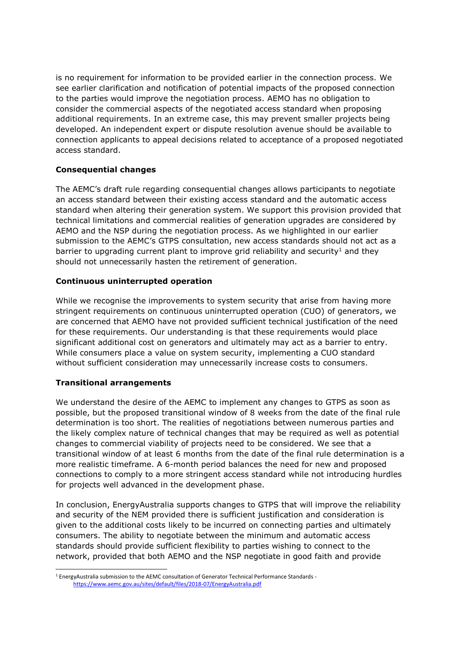is no requirement for information to be provided earlier in the connection process. We see earlier clarification and notification of potential impacts of the proposed connection to the parties would improve the negotiation process. AEMO has no obligation to consider the commercial aspects of the negotiated access standard when proposing additional requirements. In an extreme case, this may prevent smaller projects being developed. An independent expert or dispute resolution avenue should be available to connection applicants to appeal decisions related to acceptance of a proposed negotiated access standard.

## **Consequential changes**

The AEMC's draft rule regarding consequential changes allows participants to negotiate an access standard between their existing access standard and the automatic access standard when altering their generation system. We support this provision provided that technical limitations and commercial realities of generation upgrades are considered by AEMO and the NSP during the negotiation process. As we highlighted in our earlier submission to the AEMC's GTPS consultation, new access standards should not act as a barrier to upgrading current plant to improve grid reliability and security<sup>1</sup> and they should not unnecessarily hasten the retirement of generation.

#### **Continuous uninterrupted operation**

While we recognise the improvements to system security that arise from having more stringent requirements on continuous uninterrupted operation (CUO) of generators, we are concerned that AEMO have not provided sufficient technical justification of the need for these requirements. Our understanding is that these requirements would place significant additional cost on generators and ultimately may act as a barrier to entry. While consumers place a value on system security, implementing a CUO standard without sufficient consideration may unnecessarily increase costs to consumers.

# **Transitional arrangements**

We understand the desire of the AEMC to implement any changes to GTPS as soon as possible, but the proposed transitional window of 8 weeks from the date of the final rule determination is too short. The realities of negotiations between numerous parties and the likely complex nature of technical changes that may be required as well as potential changes to commercial viability of projects need to be considered. We see that a transitional window of at least 6 months from the date of the final rule determination is a more realistic timeframe. A 6-month period balances the need for new and proposed connections to comply to a more stringent access standard while not introducing hurdles for projects well advanced in the development phase.

In conclusion, EnergyAustralia supports changes to GTPS that will improve the reliability and security of the NEM provided there is sufficient justification and consideration is given to the additional costs likely to be incurred on connecting parties and ultimately consumers. The ability to negotiate between the minimum and automatic access standards should provide sufficient flexibility to parties wishing to connect to the network, provided that both AEMO and the NSP negotiate in good faith and provide

<sup>-</sup><sup>1</sup> EnergyAustralia submission to the AEMC consultation of Generator Technical Performance Standards <https://www.aemc.gov.au/sites/default/files/2018-07/EnergyAustralia.pdf>